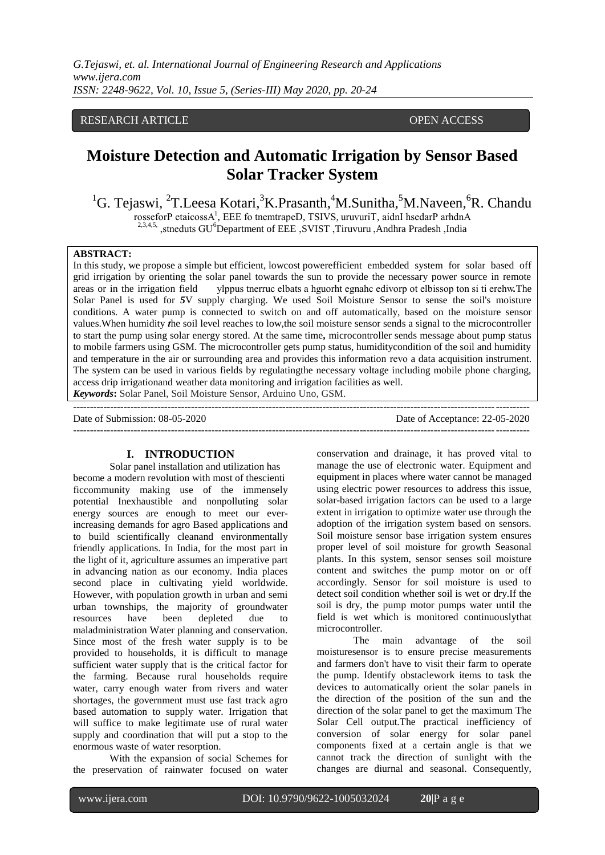# RESEARCH ARTICLE **CONSERVANCESS** OPEN ACCESS

# **Moisture Detection and Automatic Irrigation by Sensor Based Solar Tracker System**

<sup>1</sup>G. Tejaswi, <sup>2</sup>T. Leesa Kotari, <sup>3</sup>K. Prasanth, <sup>4</sup>M. Sunitha, <sup>5</sup>M. Naveen, <sup>6</sup>R. Chandu rosseforP etaicossA<sup>1</sup>, EEE fo tnemtrapeD, TSIVS, uruvuriT, aidnI hsedarP arhdnA <sup>2,3,4,5,</sup> ,stneduts GU<sup>6</sup>Department of EEE ,SVIST ,Tiruvuru ,Andhra Pradesh ,India

#### **ABSTRACT:**

In this study, we propose a simple but efficient, lowcost powerefficient embedded system for solar based off grid irrigation by orienting the solar panel towards the sun to provide the necessary power source in remote areas or in the irrigation field ylppus tnerruc elbats a hguorht egnahc edivorp ot elbissop ton si ti erehw*.*The Solar Panel is used for *5*V supply charging. We used Soil Moisture Sensor to sense the soil's moisture conditions. A water pump is connected to switch on and off automatically, based on the moisture sensor values.When humidity *t*he soil level reaches to low,the soil moisture sensor sends a signal to the microcontroller to start the pump using solar energy stored. At the same time*,* microcontroller sends message about pump status to mobile farmers using GSM. The microcontroller gets pump status, humiditycondition of the soil and humidity and temperature in the air or surrounding area and provides this information revo a data acquisition instrument. The system can be used in various fields by regulatingthe necessary voltage including mobile phone charging, access drip irrigationand weather data monitoring and irrigation facilities as well. *Keywords***:** Solar Panel, Soil Moisture Sensor, Arduino Uno, GSM.

---------------------------------------------------------------------------------------------------------------------------------------

Date of Submission: 08-05-2020 Date of Acceptance: 22-05-2020  $-1-\frac{1}{2}$ 

#### **I. INTRODUCTION**

Solar panel installation and utilization has become a modern revolution with most of thescienti ficcommunity making use of the immensely potential Inexhaustible and nonpolluting solar energy sources are enough to meet our everincreasing demands for agro Based applications and to build scientifically cleanand environmentally friendly applications. In India, for the most part in the light of it, agriculture assumes an imperative part in advancing nation as our economy. India places second place in cultivating yield worldwide. However, with population growth in urban and semi urban townships, the majority of groundwater resources have been depleted due to maladministration Water planning and conservation. Since most of the fresh water supply is to be provided to households, it is difficult to manage sufficient water supply that is the critical factor for the farming. Because rural households require water, carry enough water from rivers and water shortages, the government must use fast track agro based automation to supply water. Irrigation that will suffice to make legitimate use of rural water supply and coordination that will put a stop to the enormous waste of water resorption.

With the expansion of social Schemes for the preservation of rainwater focused on water conservation and drainage, it has proved vital to manage the use of electronic water. Equipment and equipment in places where water cannot be managed using electric power resources to address this issue, solar-based irrigation factors can be used to a large extent in irrigation to optimize water use through the adoption of the irrigation system based on sensors. Soil moisture sensor base irrigation system ensures proper level of soil moisture for growth Seasonal plants. In this system, sensor senses soil moisture content and switches the pump motor on or off accordingly. Sensor for soil moisture is used to detect soil condition whether soil is wet or dry.If the soil is dry, the pump motor pumps water until the field is wet which is monitored continuouslythat microcontroller.

The main advantage of the soil moisturesensor is to ensure precise measurements and farmers don't have to visit their farm to operate the pump. Identify obstaclework items to task the devices to automatically orient the solar panels in the direction of the position of the sun and the direction of the solar panel to get the maximum The Solar Cell output.The practical inefficiency of conversion of solar energy for solar panel components fixed at a certain angle is that we cannot track the direction of sunlight with the changes are diurnal and seasonal. Consequently,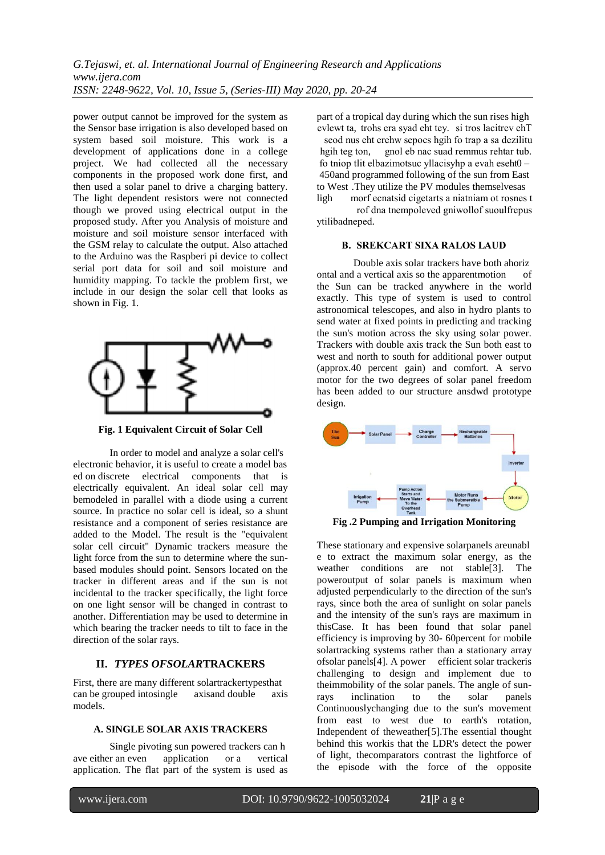*G.Tejaswi, et. al. International Journal of Engineering Research and Applications www.ijera.com ISSN: 2248-9622, Vol. 10, Issue 5, (Series-III) May 2020, pp. 20-24*

power output cannot be improved for the system as the Sensor base irrigation is also developed based on system based soil moisture. This work is a development of applications done in a college project. We had collected all the necessary components in the proposed work done first, and then used a solar panel to drive a charging battery. The light dependent resistors were not connected though we proved using electrical output in the proposed study. After you Analysis of moisture and moisture and soil moisture sensor interfaced with the GSM relay to calculate the output. Also attached to the Arduino was the Raspberi pi device to collect serial port data for soil and soil moisture and humidity mapping. To tackle the problem first, we include in our design the solar cell that looks as shown in Fig. 1.



**Fig. 1 Equivalent Circuit of Solar Cell**

In order to model and analyze a solar cell's electronic behavior, it is useful to create a model bas ed on discrete electrical components that is electrically equivalent. An ideal solar cell may bemodeled in parallel with a diode using a current source. In practice no solar cell is ideal, so a shunt resistance and a component of series resistance are added to the Model. The result is the "equivalent solar cell circuit" Dynamic trackers measure the light force from the sun to determine where the sunbased modules should point. Sensors located on the tracker in different areas and if the sun is not incidental to the tracker specifically, the light force on one light sensor will be changed in contrast to another. Differentiation may be used to determine in which bearing the tracker needs to tilt to face in the direction of the solar rays.

# **II.** *TYPES OFSOLAR***TRACKERS**

First, there are many different solartrackertypesthat can be grouped intosingle axisand double axis models.

### **A. SINGLE SOLAR AXIS TRACKERS**

Single pivoting sun powered trackers can h ave either an even application or a vertical application. The flat part of the system is used as

part of a tropical day during which the sun rises high evlewt ta, trohs era syad eht tey. si tros lacitrev ehT

seod nus eht erehw sepocs hgih fo trap a sa dezilitu hgih teg ton, gnol eb nac suad remmus rehtar tub. gnol eb nac suad remmus rehtar tub. fo tniop tlit elbazimotsuc yllacisyhp a evah eseht0 – 450and programmed following of the sun from East to West .They utilize the PV modules themselvesas ligh morf ecnatsid cigetarts a niatniam ot rosnes t

rof dna tnempoleved gniwollof suoulfrepus ytilibadneped.

# **B. SREKCART SIXA RALOS LAUD**

Double axis solar trackers have both ahoriz ontal and a vertical axis so the apparentmotion of the Sun can be tracked anywhere in the world exactly. This type of system is used to control astronomical telescopes, and also in hydro plants to send water at fixed points in predicting and tracking the sun's motion across the sky using solar power. Trackers with double axis track the Sun both east to west and north to south for additional power output (approx.40 percent gain) and comfort. A servo motor for the two degrees of solar panel freedom has been added to our structure ansdwd prototype design.



**Fig .2 Pumping and Irrigation Monitoring**

These stationary and expensive solarpanels areunabl e to extract the maximum solar energy, as the weather conditions are not stable[3]. The poweroutput of solar panels is maximum when adjusted perpendicularly to the direction of the sun's rays, since both the area of sunlight on solar panels and the intensity of the sun's rays are maximum in thisCase. It has been found that solar panel efficiency is improving by 30- 60percent for mobile solartracking systems rather than a stationary array ofsolar panels[4]. A power efficient solar trackeris challenging to design and implement due to theimmobility of the solar panels. The angle of sunrays inclination to the solar panels Continuouslychanging due to the sun's movement from east to west due to earth's rotation, Independent of theweather[5].The essential thought behind this workis that the LDR's detect the power of light, thecomparators contrast the lightforce of the episode with the force of the opposite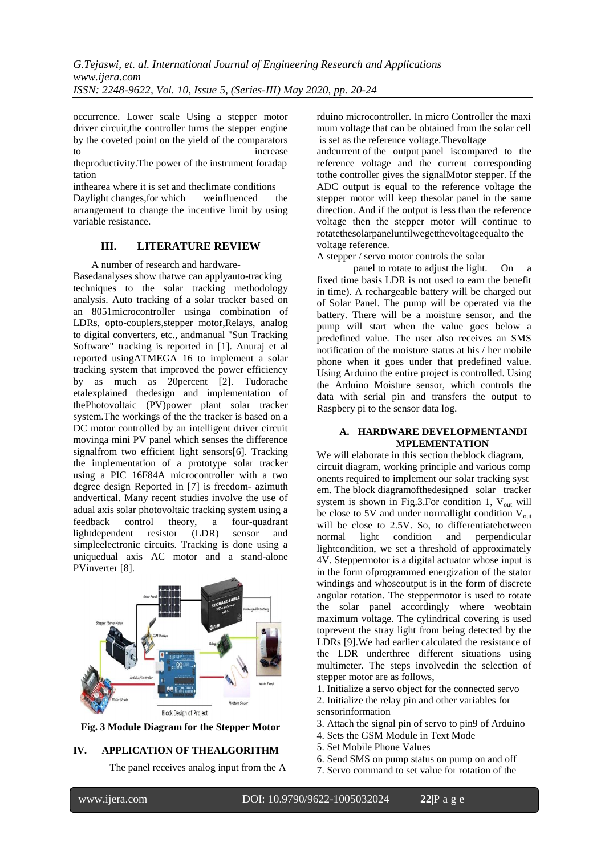occurrence. Lower scale Using a stepper motor driver circuit, the controller turns the stepper engine by the coveted point on the yield of the comparators to increase

theproductivity.The power of the instrument foradap tation

inthearea where it is set and theclimate conditions

Daylight changes,for which weinfluenced the arrangement to change the incentive limit by using variable resistance.

# **III. LITERATURE REVIEW**

A number of research and hardware-

Basedanalyses show thatwe can applyauto-tracking techniques to the solar tracking methodology analysis. Auto tracking of a solar tracker based on an 8051microcontroller usinga combination of LDRs, opto-couplers,stepper motor,Relays, analog to digital converters, etc., andmanual "Sun Tracking Software" tracking is reported in [1]. Anuraj et al reported usingATMEGA 16 to implement a solar tracking system that improved the power efficiency by as much as 20percent [2]. Tudorache etalexplained thedesign and implementation of thePhotovoltaic (PV)power plant solar tracker system.The workings of the the tracker is based on a DC motor controlled by an intelligent driver circuit movinga mini PV panel which senses the difference signalfrom two efficient light sensors[6]. Tracking the implementation of a prototype solar tracker using a PIC 16F84A microcontroller with a two degree design Reported in [7] is freedom- azimuth andvertical. Many recent studies involve the use of adual axis solar photovoltaic tracking system using a feedback control theory, a four-quadrant lightdependent resistor (LDR) sensor and simpleelectronic circuits. Tracking is done using a uniquedual axis AC motor and a stand-alone PVinverter [8].



**Fig. 3 Module Diagram for the Stepper Motor**

# **IV. APPLICATION OF THEALGORITHM**

The panel receives analog input from the A

rduino microcontroller. In micro Controller the maxi mum voltage that can be obtained from the solar cell is set as the reference voltage.Thevoltage

andcurrent of the output panel iscompared to the reference voltage and the current corresponding tothe controller gives the signalMotor stepper. If the ADC output is equal to the reference voltage the stepper motor will keep thesolar panel in the same direction. And if the output is less than the reference voltage then the stepper motor will continue to rotatethesolarpaneluntilwegetthevoltageequalto the voltage reference.

A stepper / servo motor controls the solar

panel to rotate to adjust the light. On a fixed time basis LDR is not used to earn the benefit in time). A rechargeable battery will be charged out of Solar Panel. The pump will be operated via the battery. There will be a moisture sensor, and the pump will start when the value goes below a predefined value. The user also receives an SMS notification of the moisture status at his / her mobile phone when it goes under that predefined value. Using Arduino the entire project is controlled. Using the Arduino Moisture sensor, which controls the data with serial pin and transfers the output to Raspbery pi to the sensor data log.

### **A. HARDWARE DEVELOPMENTANDI MPLEMENTATION**

We will elaborate in this section theblock diagram, circuit diagram, working principle and various comp onents required to implement our solar tracking syst em. The block diagramofthedesigned solar tracker system is shown in Fig.3.For condition 1,  $V_{out}$  will be close to 5V and under normallight condition  $V_{\text{out}}$ will be close to 2.5V. So, to differentiatebetween normal light condition and perpendicular lightcondition, we set a threshold of approximately 4V. Steppermotor is a digital actuator whose input is in the form ofprogrammed energization of the stator windings and whoseoutput is in the form of discrete angular rotation. The steppermotor is used to rotate the solar panel accordingly where weobtain maximum voltage. The cylindrical covering is used toprevent the stray light from being detected by the LDRs [9].We had earlier calculated the resistance of the LDR underthree different situations using multimeter. The steps involvedin the selection of stepper motor are as follows,

1. Initialize a servo object for the connected servo

- 2. Initialize the relay pin and other variables for sensorinformation
- 3. Attach the signal pin of servo to pin9 of Arduino
- 4. Sets the GSM Module in Text Mode
- 5. Set Mobile Phone Values
- 6. Send SMS on pump status on pump on and off
- 7. Servo command to set value for rotation of the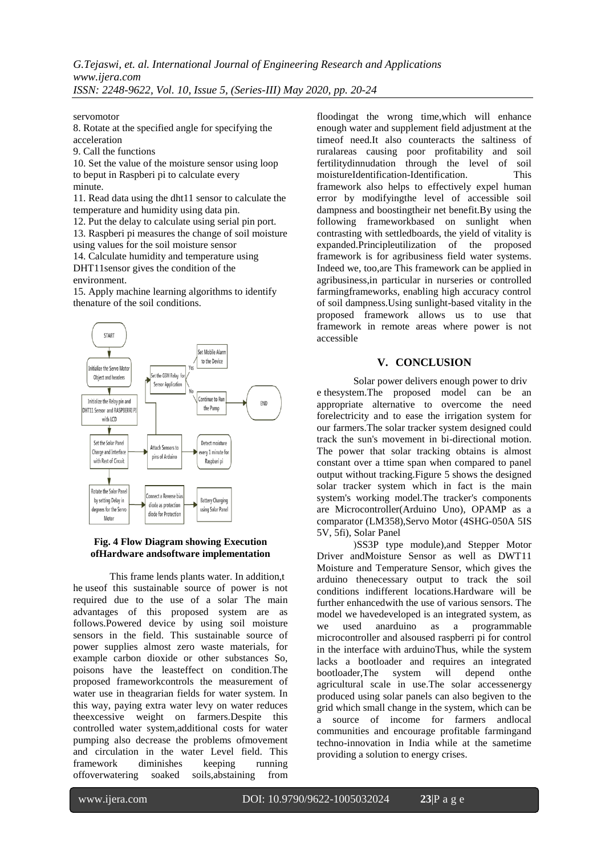servomotor

8. Rotate at the specified angle for specifying the acceleration

9. Call the functions

10. Set the value of the moisture sensor using loop to beput in Raspberi pi to calculate every minute.

11. Read data using the dht11 sensor to calculate the temperature and humidity using data pin.

12. Put the delay to calculate using serial pin port.

13. Raspberi pi measures the change of soil moisture using values for the soil moisture sensor

14. Calculate humidity and temperature using DHT11sensor gives the condition of the environment.

15. Apply machine learning algorithms to identify thenature of the soil conditions.



### **Fig. 4 Flow Diagram showing Execution ofHardware andsoftware implementation**

This frame lends plants water. In addition,t he useof this sustainable source of power is not required due to the use of a solar The main advantages of this proposed system are as follows.Powered device by using soil moisture sensors in the field. This sustainable source of power supplies almost zero waste materials, for example carbon dioxide or other substances So, poisons have the leasteffect on condition.The proposed frameworkcontrols the measurement of water use in theagrarian fields for water system. In this way, paying extra water levy on water reduces theexcessive weight on farmers.Despite this controlled water system,additional costs for water pumping also decrease the problems ofmovement and circulation in the water Level field. This framework diminishes keeping running offoverwatering soaked soils,abstaining from

floodingat the wrong time,which will enhance enough water and supplement field adjustment at the timeof need.It also counteracts the saltiness of ruralareas causing poor profitability and soil fertilitydinnudation through the level of soil<br>moistureIdentification-Identification. This moistureIdentification-Identification. framework also helps to effectively expel human error by modifyingthe level of accessible soil dampness and boostingtheir net benefit.By using the following frameworkbased on sunlight when contrasting with settledboards, the yield of vitality is expanded.Principleutilization of the proposed framework is for agribusiness field water systems. Indeed we, too,are This framework can be applied in agribusiness,in particular in nurseries or controlled farmingframeworks, enabling high accuracy control of soil dampness.Using sunlight-based vitality in the proposed framework allows us to use that framework in remote areas where power is not accessible

# **V. CONCLUSION**

Solar power delivers enough power to driv e thesystem.The proposed model can be an appropriate alternative to overcome the need forelectricity and to ease the irrigation system for our farmers.The solar tracker system designed could track the sun's movement in bi-directional motion. The power that solar tracking obtains is almost constant over a ttime span when compared to panel output without tracking.Figure 5 shows the designed solar tracker system which in fact is the main system's working model.The tracker's components are Microcontroller(Arduino Uno), OPAMP as a comparator (LM358),Servo Motor (4SHG-050A 5IS 5V, 5fi), Solar Panel

(SS3P type module),and Stepper Motor Driver andMoisture Sensor as well as DWT11 Moisture and Temperature Sensor, which gives the arduino thenecessary output to track the soil conditions indifferent locations.Hardware will be further enhancedwith the use of various sensors. The model we havedeveloped is an integrated system, as we used anarduino as a programmable microcontroller and alsoused raspberri pi for control in the interface with arduinoThus, while the system lacks a bootloader and requires an integrated bootloader,The system will depend onthe agricultural scale in use.The solar accessenergy produced using solar panels can also begiven to the grid which small change in the system, which can be a source of income for farmers andlocal communities and encourage profitable farmingand techno-innovation in India while at the sametime providing a solution to energy crises.